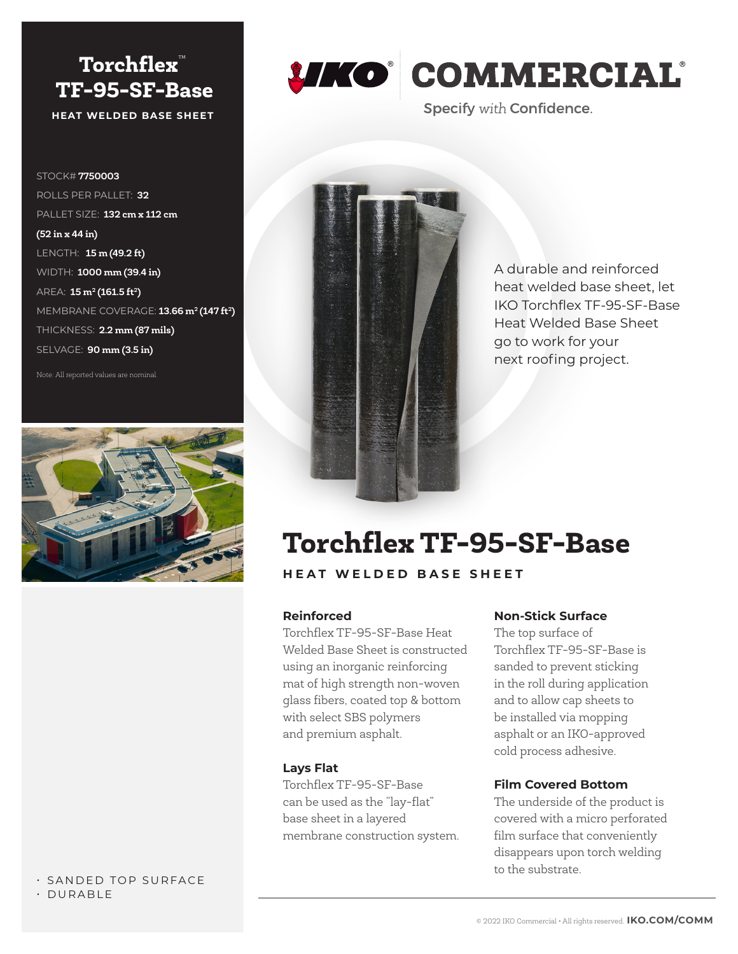## **Torchflex**™  **TF‑95‑SF‑Base HEAT WELDED BASE SHEET**

STOCK# **7750003** ROLLS PER PALLET: **32** PALLET SIZE: **132 cm x 112 cm (52 in x 44 in)**  LENGTH: **15 m (49.2 ft)** WIDTH: **1000 mm (39.4 in)** AREA: **15 m<sup>2</sup> (161.5 ft<sup>2</sup>)** MEMBRANE COVERAGE: **13.66 m2 (147 ft2)** THICKNESS: **2.2 mm (87 mils)** SELVAGE: **90 mm (3.5 in)**

Note: All reported values are nominal.



### to the substrate.<br>
• SANDED TOP SURFACE • DURABLE



# *UKO* COMMERCIAL

**Specify with Confidence.** 



A durable and reinforced heat welded base sheet, let IKO Torchflex TF‑95‑SF‑Base Heat Welded Base Sheet go to work for your next roofing project.

## **Torchflex TF‑95‑SF‑Base**

**HEAT WELDED BASE SHEET**

#### **Reinforced**

Torchflex TF‑95‑SF‑Base Heat Welded Base Sheet is constructed using an inorganic reinforcing mat of high strength non‑woven glass fibers, coated top & bottom with select SBS polymers and premium asphalt.

#### **Lays Flat**

Torchflex TF‑95‑SF‑Base can be used as the "lay-flat" base sheet in a layered membrane construction system.

#### **Non‑Stick Surface**

The top surface of Torchflex TF‑95‑SF‑Base is sanded to prevent sticking in the roll during application and to allow cap sheets to be installed via mopping asphalt or an IKO‑approved cold process adhesive.

#### **Film Covered Bottom**

The underside of the product is covered with a micro perforated film surface that conveniently disappears upon torch welding